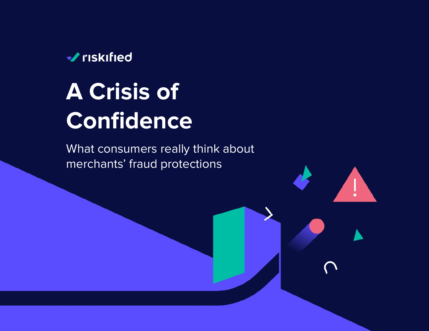

# **A Crisis of Confidence**

What consumers really think about merchants' fraud protections

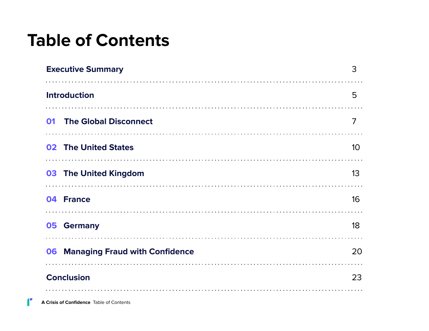## **Table of Contents**

| <b>Executive Summary</b>                    | 3               |
|---------------------------------------------|-----------------|
| <b>Introduction</b>                         | 5               |
| <b>The Global Disconnect</b><br>01          | 7               |
| <b>02 The United States</b>                 | 10 <sup>°</sup> |
| 03 The United Kingdom                       | 13              |
| 04 France                                   | 16              |
| <b>Germany</b><br>05                        | 18              |
| <b>Managing Fraud with Confidence</b><br>06 | 20              |
| <b>Conclusion</b>                           | 23              |

 $\mathbf{f}$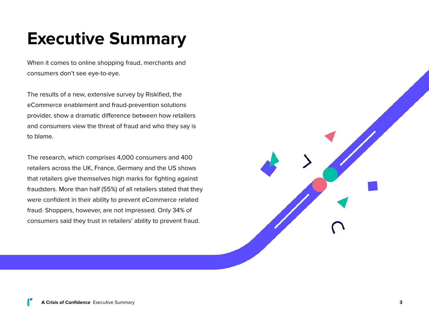# <span id="page-2-0"></span>**Executive Summary**

When it comes to online shopping fraud, merchants and consumers don't see eye-to-eye.

The results of a new, extensive survey by Riskified, the eCommerce enablement and fraud-prevention solutions provider, show a dramatic difference between how retailers and consumers view the threat of fraud and who they say is to blame.

The research, which comprises 4,000 consumers and 400 retailers across the UK, France, Germany and the US shows that retailers give themselves high marks for fighting against fraudsters. More than half (55%) of all retailers stated that they were confident in their ability to prevent eCommerce related fraud. Shoppers, however, are not impressed. Only 34% of consumers said they trust in retailers' ability to prevent fraud.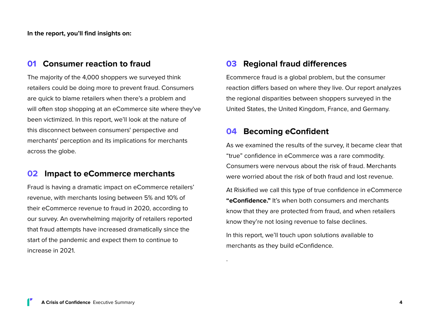**In the report, you'll find insights on:**

### **01 Consumer reaction to fraud**

The majority of the 4,000 shoppers we surveyed think retailers could be doing more to prevent fraud. Consumers are quick to blame retailers when there's a problem and will often stop shopping at an eCommerce site where they've been victimized. In this report, we'll look at the nature of this disconnect between consumers' perspective and merchants' perception and its implications for merchants across the globe.

### **02 Impact to eCommerce merchants**

Fraud is having a dramatic impact on eCommerce retailers' revenue, with merchants losing between 5% and 10% of their eCommerce revenue to fraud in 2020, according to our survey. An overwhelming majority of retailers reported that fraud attempts have increased dramatically since the start of the pandemic and expect them to continue to increase in 2021.

### **03 Regional fraud differences**

Ecommerce fraud is a global problem, but the consumer reaction differs based on where they live. Our report analyzes the regional disparities between shoppers surveyed in the United States, the United Kingdom, France, and Germany.

### **04 Becoming eConfident**

.

As we examined the results of the survey, it became clear that "true" confidence in eCommerce was a rare commodity. Consumers were nervous about the risk of fraud. Merchants were worried about the risk of both fraud and lost revenue.

At Riskified we call this type of true confidence in eCommerce **"eConfidence."** It's when both consumers and merchants know that they are protected from fraud, and when retailers know they're not losing revenue to false declines.

In this report, we'll touch upon solutions available to merchants as they build eConfidence.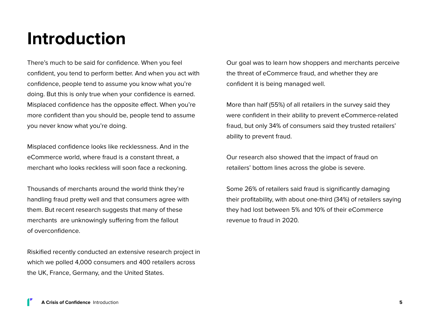### <span id="page-4-0"></span>**Introduction**

There's much to be said for confidence. When you feel confident, you tend to perform better. And when you act with confidence, people tend to assume you know what you're doing. But this is only true when your confidence is earned. Misplaced confidence has the opposite effect. When you're more confident than you should be, people tend to assume you never know what you're doing.

Misplaced confidence looks like recklessness. And in the eCommerce world, where fraud is a constant threat, a merchant who looks reckless will soon face a reckoning.

Thousands of merchants around the world think they're handling fraud pretty well and that consumers agree with them. But recent research suggests that many of these merchants are unknowingly suffering from the fallout of overconfidence.

Riskified recently conducted an extensive research project in which we polled 4,000 consumers and 400 retailers across the UK, France, Germany, and the United States.

Our goal was to learn how shoppers and merchants perceive the threat of eCommerce fraud, and whether they are confident it is being managed well.

More than half (55%) of all retailers in the survey said they were confident in their ability to prevent eCommerce-related fraud, but only 34% of consumers said they trusted retailers' ability to prevent fraud.

Our research also showed that the impact of fraud on retailers' bottom lines across the globe is severe.

Some 26% of retailers said fraud is significantly damaging their profitability, with about one-third (34%) of retailers saying they had lost between 5% and 10% of their eCommerce revenue to fraud in 2020.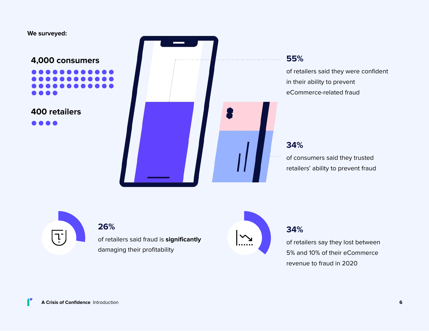#### **We surveyed:**

**4,000 consumers**

**400 retailers**

. . .



### **55%**

of retailers said they were confident in their ability to prevent eCommerce-related fraud

### **34%**

of consumers said they trusted retailers' ability to prevent fraud



### **26%**

of retailers said fraud is **significantly** damaging their profitability

### **34%**

of retailers say they lost between 5% and 10% of their eCommerce revenue to fraud in 2020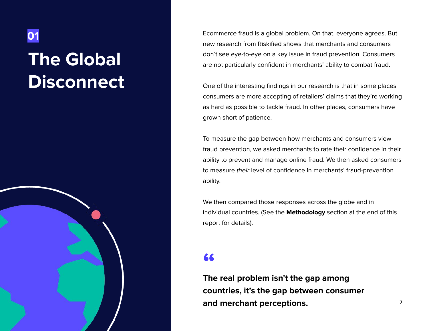# **The Global Disconnect**

<span id="page-6-0"></span>**01**

Ecommerce fraud is a global problem. On that, everyone agrees. But new research from Riskified shows that merchants and consumers don't see eye-to-eye on a key issue in fraud prevention. Consumers are not particularly confident in merchants' ability to combat fraud.

One of the interesting findings in our research is that in some places consumers are more accepting of retailers' claims that they're working as hard as possible to tackle fraud. In other places, consumers have grown short of patience.

To measure the gap between how merchants and consumers view fraud prevention, we asked merchants to rate their confidence in their ability to prevent and manage online fraud. We then asked consumers to measure their level of confidence in merchants' fraud-prevention ability.

We then compared those responses across the globe and in individual countries. (See the **Methodology** section at the end of this report for details).

### **"**

**The real problem isn't the gap among countries, it's the gap between consumer and merchant perceptions.**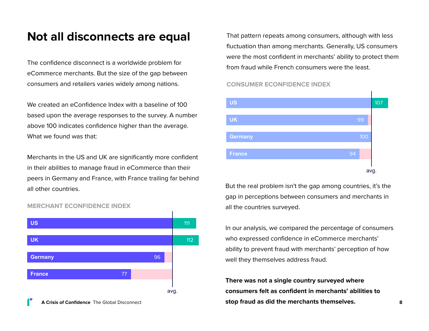### **Not all disconnects are equal**

The confidence disconnect is a worldwide problem for eCommerce merchants. But the size of the gap between consumers and retailers varies widely among nations.

We created an eConfidence Index with a baseline of 100 based upon the average responses to the survey. A number above 100 indicates confidence higher than the average. What we found was that:

Merchants in the US and UK are significantly more confident in their abilities to manage fraud in eCommerce than their peers in Germany and France, with France trailing far behind all other countries.



#### **MERCHANT ECONFIDENCE INDEX**

That pattern repeats among consumers, although with less fluctuation than among merchants. Generally, US consumers were the most confident in merchants' ability to protect them from fraud while French consumers were the least.

#### **CONSUMER ECONFIDENCE INDEX**



But the real problem isn't the gap among countries, it's the gap in perceptions between consumers and merchants in all the countries surveyed.

In our analysis, we compared the percentage of consumers who expressed confidence in eCommerce merchants' ability to prevent fraud with merchants' perception of how well they themselves address fraud.

**There was not a single country surveyed where consumers felt as confident in merchants' abilities to stop fraud as did the merchants themselves.**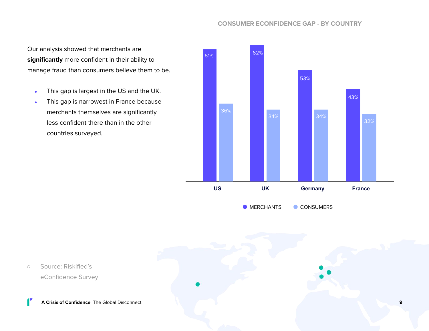#### **CONSUMER ECONFIDENCE GAP - BY COUNTRY**

Our analysis showed that merchants are **significantly** more confident in their ability to manage fraud than consumers believe them to be.

- This gap is largest in the US and the UK.
- This gap is narrowest in France because merchants themselves are significantly less confident there than in the other countries surveyed.



**MERCHANTS CONSUMERS** 



○ Source: Riskified's eConfidence Survey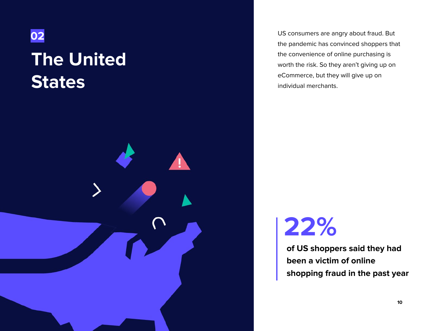<span id="page-9-0"></span>

# **The United States**



US consumers are angry about fraud. But the pandemic has convinced shoppers that the convenience of online purchasing is worth the risk. So they aren't giving up on eCommerce, but they will give up on individual merchants.

# **22%**

**of US shoppers said they had been a victim of online shopping fraud in the past year**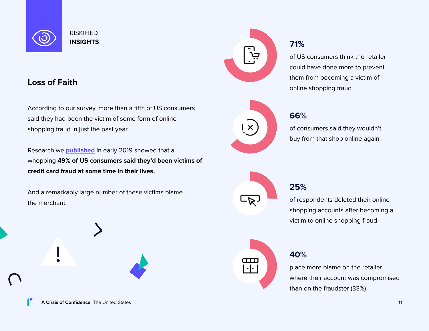

### **Loss of Faith**

According to our survey, more than a fifth of US consumers said they had been the victim of some form of online shopping fraud in just the past year.

Research we **[published](https://wwd.com/business-news/business-features/riskified-credit-fraud-report-1202990486/)** in early 2019 showed that a whopping **49% of US consumers said they'd been victims of credit card fraud at some time in their lives.**

And a remarkably large number of these victims blame the merchant.







of US consumers think the retailer could have done more to prevent them from becoming a victim of online shopping fraud



of consumers said they wouldn't buy from that shop online again



### **25%**

of respondents deleted their online shopping accounts after becoming a victim to online shopping fraud



### **40%**

place more blame on the retailer where their account was compromised than on the fraudster (33%)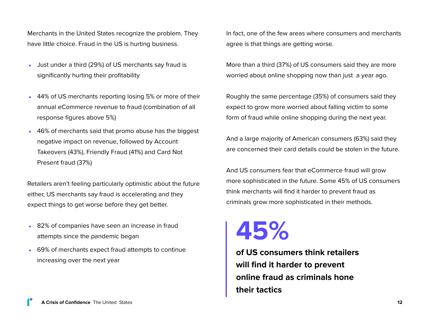Merchants in the United States recognize the problem. They have little choice. Fraud in the US is hurting business.

- Just under a third (29%) of US merchants say fraud is significantly hurting their profitability
- 44% of US merchants reporting losing 5% or more of their annual eCommerce revenue to fraud (combination of all response figures above 5%)
- 46% of merchants said that promo abuse has the biggest negative impact on revenue, followed by Account Takeovers (43%), Friendly Fraud (41%) and Card Not Present fraud (37%)

Retailers aren't feeling particularly optimistic about the future either, US merchants say fraud is accelerating and they expect things to get worse before they get better.

- 82% of companies have seen an increase in fraud attempts since the pandemic began
- 69% of merchants expect fraud attempts to continue increasing over the next year

In fact, one of the few areas where consumers and merchants agree is that things are getting worse.

More than a third (37%) of US consumers said they are more worried about online shopping now than just a year ago.

Roughly the same percentage (35%) of consumers said they expect to grow more worried about falling victim to some form of fraud while online shopping during the next year.

And a large majority of American consumers (63%) said they are concerned their card details could be stolen in the future.

And US consumers fear that eCommerce fraud will grow more sophisticated in the future. Some 45% of US consumers think merchants will find it harder to prevent fraud as criminals grow more sophisticated in their methods.

# **45%**

**of US consumers think retailers will find it harder to prevent online fraud as criminals hone their tactics**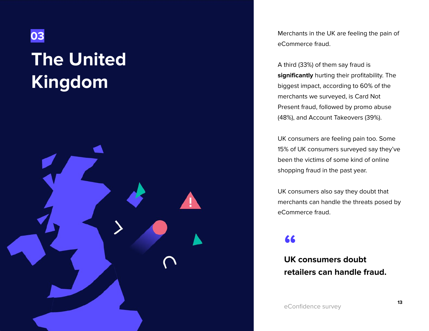<span id="page-12-0"></span>

# **The United Kingdom**



Merchants in the UK are feeling the pain of eCommerce fraud.

A third (33%) of them say fraud is **significantly** hurting their profitability. The biggest impact, according to 60% of the merchants we surveyed, is Card Not Present fraud, followed by promo abuse (48%), and Account Takeovers (39%).

UK consumers are feeling pain too. Some 15% of UK consumers surveyed say they've been the victims of some kind of online shopping fraud in the past year.

UK consumers also say they doubt that merchants can handle the threats posed by eCommerce fraud.

### **"**

**UK consumers doubt retailers can handle fraud.**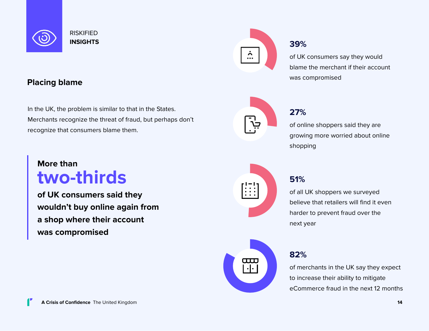

### **Placing blame**

In the UK, the problem is similar to that in the States. Merchants recognize the threat of fraud, but perhaps don't recognize that consumers blame them.

### **More than two-thirds**

**of UK consumers said they wouldn't buy online again from a shop where their account was compromised**

### **39%**

of UK consumers say they would blame the merchant if their account was compromised



### **27%**

of online shoppers said they are growing more worried about online shopping



### **51%**

of all UK shoppers we surveyed believe that retailers will find it even harder to prevent fraud over the next year



### **82%**

of merchants in the UK say they expect to increase their ability to mitigate eCommerce fraud in the next 12 months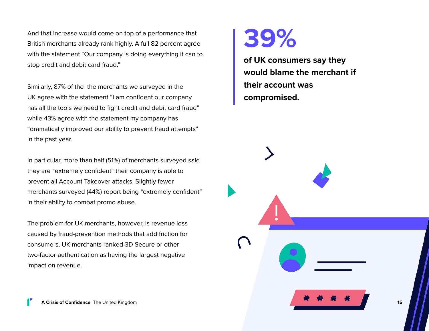And that increase would come on top of a performance that British merchants already rank highly. A full 82 percent agree with the statement "Our company is doing everything it can to stop credit and debit card fraud."

Similarly, 87% of the the merchants we surveyed in the UK agree with the statement "I am confident our company has all the tools we need to fight credit and debit card fraud" while 43% agree with the statement my company has "dramatically improved our ability to prevent fraud attempts" in the past year.

In particular, more than half (51%) of merchants surveyed said they are "extremely confident" their company is able to prevent all Account Takeover attacks. Slightly fewer merchants surveyed (44%) report being "extremely confident" in their ability to combat promo abuse.

The problem for UK merchants, however, is revenue loss caused by fraud-prevention methods that add friction for consumers. UK merchants ranked 3D Secure or other two-factor authentication as having the largest negative impact on revenue.



**of UK consumers say they would blame the merchant if their account was compromised.**

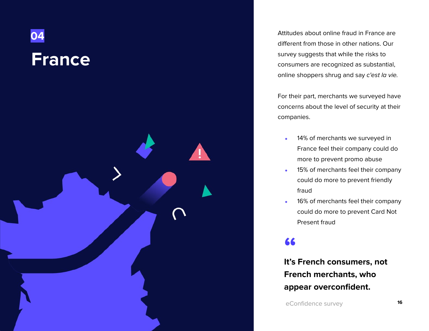<span id="page-15-0"></span>

Attitudes about online fraud in France are different from those in other nations. Our survey suggests that while the risks to consumers are recognized as substantial, online shoppers shrug and say c'est la vie.

For their part, merchants we surveyed have concerns about the level of security at their companies.

- 14% of merchants we surveyed in France feel their company could do more to prevent promo abuse
- 15% of merchants feel their company could do more to prevent friendly fraud
- 16% of merchants feel their company could do more to prevent Card Not Present fraud

# **66**<br>|<br>|<sup>12</sup>0 F

**It's French consumers, not French merchants, who appear overconfident.**

eConfidence survey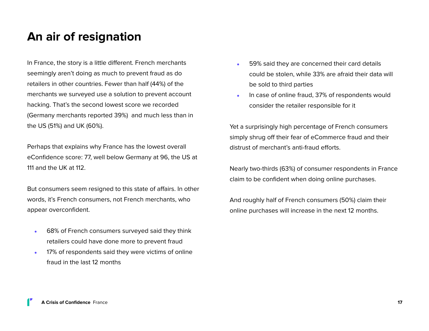### **An air of resignation**

In France, the story is a little different. French merchants seemingly aren't doing as much to prevent fraud as do retailers in other countries. Fewer than half (44%) of the merchants we surveyed use a solution to prevent account hacking. That's the second lowest score we recorded (Germany merchants reported 39%) and much less than in the US (51%) and UK (60%).

Perhaps that explains why France has the lowest overall eConfidence score: 77, well below Germany at 96, the US at 111 and the UK at 112.

But consumers seem resigned to this state of affairs. In other words, it's French consumers, not French merchants, who appear overconfident.

- 68% of French consumers surveyed said they think retailers could have done more to prevent fraud
- 17% of respondents said they were victims of online fraud in the last 12 months
- 59% said they are concerned their card details could be stolen, while 33% are afraid their data will be sold to third parties
- In case of online fraud, 37% of respondents would consider the retailer responsible for it

Yet a surprisingly high percentage of French consumers simply shrug off their fear of eCommerce fraud and their distrust of merchant's anti-fraud efforts.

Nearly two-thirds (63%) of consumer respondents in France claim to be confident when doing online purchases.

And roughly half of French consumers (50%) claim their online purchases will increase in the next 12 months.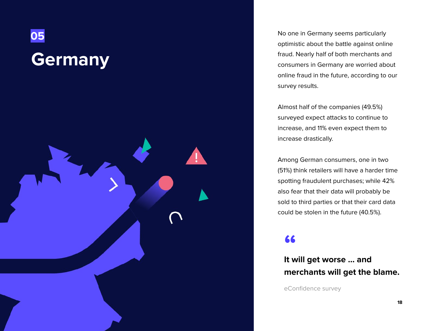<span id="page-17-0"></span>

No one in Germany seems particularly optimistic about the battle against online fraud. Nearly half of both merchants and consumers in Germany are worried about online fraud in the future, according to our survey results.

Almost half of the companies (49.5%) surveyed expect attacks to continue to increase, and 11% even expect them to increase drastically.

Among German consumers, one in two (51%) think retailers will have a harder time spotting fraudulent purchases; while 42% also fear that their data will probably be sold to third parties or that their card data could be stolen in the future (40.5%).

### **"**

**It will get worse … and merchants will get the blame.**

eConfidence survey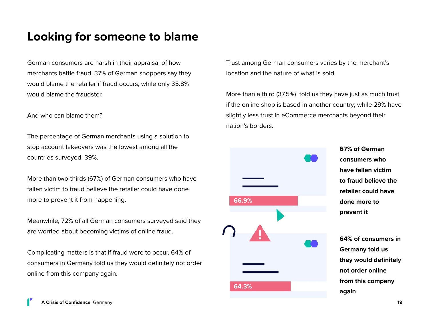### **Looking for someone to blame**

German consumers are harsh in their appraisal of how merchants battle fraud. 37% of German shoppers say they would blame the retailer if fraud occurs, while only 35.8% would blame the fraudster.

And who can blame them?

The percentage of German merchants using a solution to stop account takeovers was the lowest among all the countries surveyed: 39%.

More than two-thirds (67%) of German consumers who have fallen victim to fraud believe the retailer could have done more to prevent it from happening.

Meanwhile, 72% of all German consumers surveyed said they are worried about becoming victims of online fraud.

Complicating matters is that if fraud were to occur, 64% of consumers in Germany told us they would definitely not order online from this company again.

Trust among German consumers varies by the merchant's location and the nature of what is sold.

More than a third (37.5%) told us they have just as much trust if the online shop is based in another country; while 29% have slightly less trust in eCommerce merchants beyond their nation's borders.



**67% of German consumers who have fallen victim to fraud believe the retailer could have done more to prevent it**

**64% of consumers in Germany told us they would definitely not order online from this company again**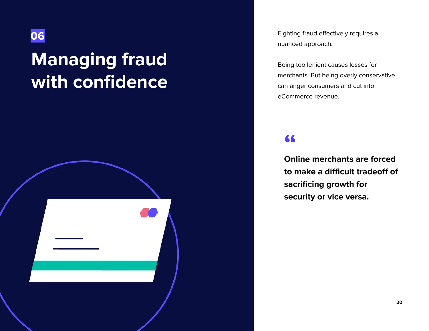### <span id="page-19-0"></span>**06**

# **Managing fraud with confidence**



Fighting fraud effectively requires a nuanced approach.

Being too lenient causes losses for merchants. But being overly conservative can anger consumers and cut into eCommerce revenue.

### **"**

**Online merchants are forced to make a difficult tradeoff of sacrificing growth for security or vice versa.**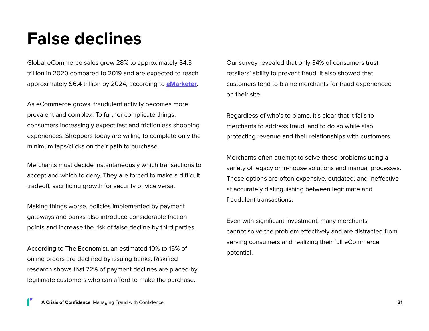### **False declines**

Global eCommerce sales grew 28% to approximately \$4.3 trillion in 2020 compared to 2019 and are expected to reach approximately \$6.4 trillion by 2024, according to **[eMarketer](https://content-na1.emarketer.com/global-ecommerce-update-2021)**.

As eCommerce grows, fraudulent activity becomes more prevalent and complex. To further complicate things, consumers increasingly expect fast and frictionless shopping experiences. Shoppers today are willing to complete only the minimum taps/clicks on their path to purchase.

Merchants must decide instantaneously which transactions to accept and which to deny. They are forced to make a difficult tradeoff, sacrificing growth for security or vice versa.

Making things worse, policies implemented by payment gateways and banks also introduce considerable friction points and increase the risk of false decline by third parties.

According to The Economist, an estimated 10% to 15% of online orders are declined by issuing banks. Riskified research shows that 72% of payment declines are placed by legitimate customers who can afford to make the purchase.

Our survey revealed that only 34% of consumers trust retailers' ability to prevent fraud. It also showed that customers tend to blame merchants for fraud experienced on their site.

Regardless of who's to blame, it's clear that it falls to merchants to address fraud, and to do so while also protecting revenue and their relationships with customers.

Merchants often attempt to solve these problems using a variety of legacy or in-house solutions and manual processes. These options are often expensive, outdated, and ineffective at accurately distinguishing between legitimate and fraudulent transactions.

Even with significant investment, many merchants cannot solve the problem effectively and are distracted from serving consumers and realizing their full eCommerce potential.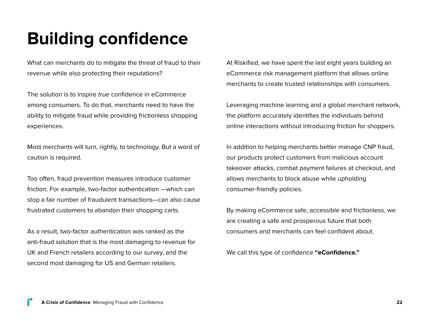# **Building confidence**

What can merchants do to mitigate the threat of fraud to their revenue while also protecting their reputations?

The solution is to inspire true confidence in eCommerce among consumers. To do that, merchants need to have the ability to mitigate fraud while providing frictionless shopping experiences.

Most merchants will turn, rightly, to technology. But a word of caution is required.

Too often, fraud prevention measures introduce customer friction. For example, two-factor authentication —which can stop a fair number of fraudulent transactions—can also cause frustrated customers to abandon their shopping carts.

As a result, two-factor authentication was ranked as the anti-fraud solution that is the most damaging to revenue for UK and French retailers according to our survey, and the second most damaging for US and German retailers.

At Riskified, we have spent the last eight years building an eCommerce risk management platform that allows online merchants to create trusted relationships with consumers.

Leveraging machine learning and a global merchant network, the platform accurately identifies the individuals behind online interactions without introducing friction for shoppers.

In addition to helping merchants better manage CNP fraud, our products protect customers from malicious account takeover attacks, combat payment failures at checkout, and allows merchants to block abuse while upholding consumer-friendly policies.

By making eCommerce safe, accessible and frictionless, we are creating a safe and prosperous future that both consumers and merchants can feel confident about.

We call this type of confidence **"eConfidence."**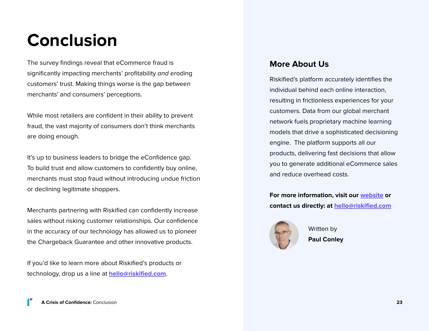### <span id="page-22-0"></span>**Conclusion**

The survey findings reveal that eCommerce fraud is significantly impacting merchants' profitability and eroding customers' trust. Making things worse is the gap between merchants' and consumers' perceptions.

While most retailers are confident in their ability to prevent fraud, the vast majority of consumers don't think merchants are doing enough.

It's up to business leaders to bridge the eConfidence gap. To build trust and allow customers to confidently buy online, merchants must stop fraud without introducing undue friction or declining legitimate shoppers.

Merchants partnering with Riskified can confidently increase sales without risking customer relationships. Our confidence in the accuracy of our technology has allowed us to pioneer the Chargeback Guarantee and other innovative products.

If you'd like to learn more about Riskified's products or technology, drop us a line at **[hello@riskified.com](mailto:hello@riskified.com)**.

### **More About Us**

Riskified's platform accurately identifies the individual behind each online interaction, resulting in frictionless experiences for your customers. Data from our global merchant network fuels proprietary machine learning models that drive a sophisticated decisioning engine. The platform supports all our products, delivering fast decisions that allow you to generate additional eCommerce sales and reduce overhead costs.

**For more information, visit our [website](https://www.riskified.com/) or contact us directly: at [hello@riskified.com](https://mail.google.com/mail/u/0/?view=cm&fs=1&tf=1&source=mailto&to=hello@riskified.com)**



Written by **Paul Conley**